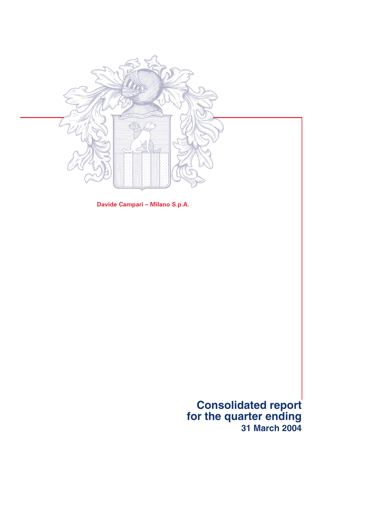

**Davide Campari – Milano S.p.A.**

**Consolidated report for the quarter ending 31 March 2004**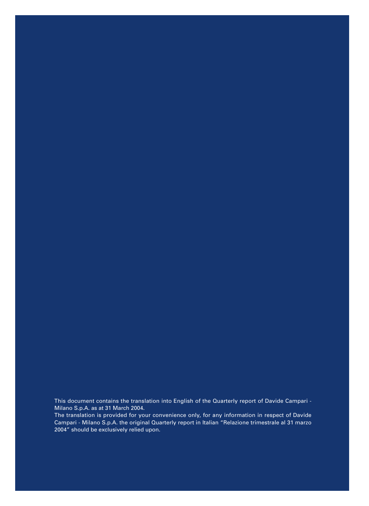This document contains the translation into English of the Quarterly report of Davide Campari - Milano S.p.A. as at 31 March 2004.

The translation is provided for your convenience only, for any information in respect of Davide Campari - Milano S.p.A. the original Quarterly report in Italian "Relazione trimestrale al 31 marzo 2004" should be exclusively relied upon.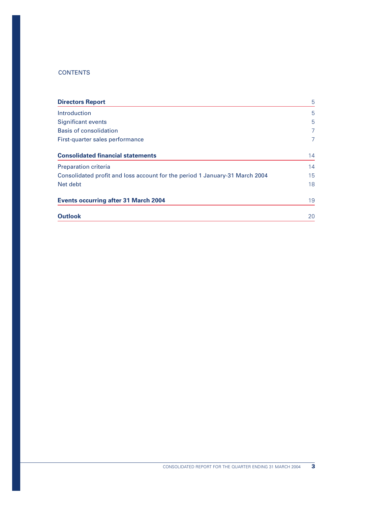# **CONTENTS**

| <b>Directors Report</b>                                                     | 5              |
|-----------------------------------------------------------------------------|----------------|
| <b>Introduction</b>                                                         | 5              |
| <b>Significant events</b>                                                   | 5              |
| <b>Basis of consolidation</b>                                               | $\overline{7}$ |
| First-quarter sales performance                                             | $\overline{7}$ |
| <b>Consolidated financial statements</b>                                    | 14             |
| <b>Preparation criteria</b>                                                 | 14             |
| Consolidated profit and loss account for the period 1 January-31 March 2004 | 15             |
| Net debt                                                                    | 18             |
| <b>Events occurring after 31 March 2004</b>                                 | 19             |
| <b>Outlook</b>                                                              | 20             |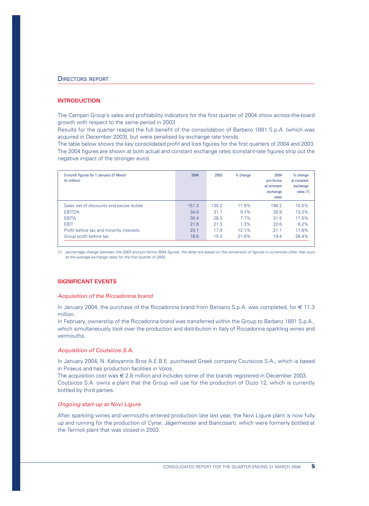### **INTRODUCTION**

The Campari Group's sales and profitability indicators for the first quarter of 2004 show across-the-board growth with respect to the same period in 2003.

Results for the quarter reaped the full benefit of the consolidation of Barbero 1891 S.p.A. (which was acquired in December 2003), but were penalised by exchange rate trends.

The table below shows the key consolidated profit and loss figures for the first quarters of 2004 and 2003. The 2004 figures are shown at both actual and constant exchange rates (constant-rate figures strip out the negative impact of the stronger euro).

| 3-month figures for 1 January-31 March<br>$(\in$ million) | 2004  | 2003  | $%$ change | 2004<br>pro-forma<br>at constant<br>exchange<br>rates | $%$ change<br>at constant<br>exchange<br>rates $(1)$ |
|-----------------------------------------------------------|-------|-------|------------|-------------------------------------------------------|------------------------------------------------------|
| Sales net of discounts and excise duties                  | 151.3 | 135.2 | 11.9%      | 156.2                                                 | 15.5%                                                |
| <b>EBITDA</b>                                             | 34.8  | 31.7  | 9.7%       | 35.9                                                  | 13.2%                                                |
| <b>EBITA</b>                                              | 30.4  | 28.3  | 7.7%       | 31.5                                                  | 11.5%                                                |
| <b>EBIT</b>                                               | 21.6  | 21.3  | 1.3%       | 22.6                                                  | 6.2%                                                 |
| Profit before tax and minority interests                  | 20.1  | 17.9  | 12.1%      | 21.1                                                  | 17.6%                                                |
| Group profit before tax                                   | 18.6  | 15.3  | 21.6%      | 19.4                                                  | 26.4%                                                |

(1) *percentage change between the 2003 and pro-forma 2004 figures; the latter are based on the conversion of figures in currencies other than euro at the average exchange rates for the first quarter of 2003.* 

#### **SIGNIFICANT EVENTS**

#### *Acquisition of the Riccadonna brand*

In January 2004, the purchase of the Riccadonna brand from Bersano S.p.A. was completed, for € 11.3 million.

In February, ownership of the Riccadonna brand was transferred within the Group to Barbero 1891 S.p.A., which simultaneously took over the production and distribution in Italy of Riccadonna sparkling wines and vermouths.

#### *Acquisition of Coutsicos S.A.*

In January 2004, N. Kaloyannis Bros A.E.B.E. purchased Greek company Coutsicos S.A., which is based in Piraeus and has production facilities in Volos.

The acquisition cost was € 2.8 million and includes some of the brands registered in December 2003. Coutsicos S.A. owns a plant that the Group will use for the production of Ouzo 12, which is currently bottled by third parties.

### *Ongoing start-up at Novi Ligure*

After sparkling wines and vermouths entered production late last year, the Novi Ligure plant is now fully up and running for the production of Cynar, Jägermeister and Biancosarti, which were formerly bottled at the Termoli plant that was closed in 2003.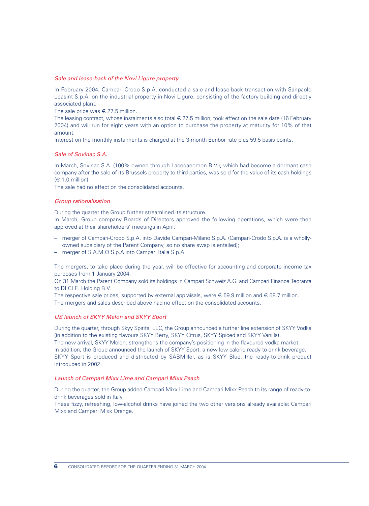### *Sale and lease-back of the Novi Ligure property*

In February 2004, Campari-Crodo S.p.A. conducted a sale and lease-back transaction with Sanpaolo Leasint S.p.A. on the industrial property in Novi Ligure, consisting of the factory building and directly associated plant.

The sale price was  $\epsilon$  27.5 million.

The leasing contract, whose instalments also total  $\in$  27.5 million, took effect on the sale date (16 February 2004) and will run for eight years with an option to purchase the property at maturity for 10% of that amount.

Interest on the monthly instalments is charged at the 3-month Euribor rate plus 59.5 basis points.

### *Sale of Sovinac S.A.*

In March, Sovinac S.A. (100%-owned through Lacedaeomon B.V.), which had become a dormant cash company after the sale of its Brussels property to third parties, was sold for the value of its cash holdings  $(\in 1.0 \text{ million})$ .

The sale had no effect on the consolidated accounts.

### *Group rationalisation*

During the quarter the Group further streamlined its structure.

In March, Group company Boards of Directors approved the following operations, which were then approved at their shareholders' meetings in April:

- merger of Campari-Crodo S.p.A. into Davide Campari-Milano S.p.A. (Campari-Crodo S.p.A. is a whollyowned subsidiary of the Parent Company, so no share swap is entailed);
- merger of S.A.M.O S.p.A into Campari Italia S.p.A.

The mergers, to take place during the year, will be effective for accounting and corporate income tax purposes from 1 January 2004.

On 31 March the Parent Company sold its holdings in Campari Schweiz A.G. and Campari Finance Teoranta to DI.CI.E. Holding B.V.

The respective sale prices, supported by external appraisals, were  $\epsilon$  59.9 million and  $\epsilon$  58.7 million. The mergers and sales described above had no effect on the consolidated accounts.

#### *US launch of SKYY Melon and SKYY Sport*

During the quarter, through Skyy Spirits, LLC, the Group announced a further line extension of SKYY Vodka (in addition to the existing flavours SKYY Berry, SKYY Citrus, SKYY Spiced and SKYY Vanilla). The new arrival, SKYY Melon, strengthens the company's positioning in the flavoured vodka market. In addition, the Group announced the launch of SKYY Sport, a new low-calorie ready-to-drink beverage. SKYY Sport is produced and distributed by SABMiller, as is SKYY Blue, the ready-to-drink product introduced in 2002.

#### *Launch of Campari Mixx Lime and Campari Mixx Peach*

During the quarter, the Group added Campari Mixx Lime and Campari Mixx Peach to its range of ready-todrink beverages sold in Italy.

These fizzy, refreshing, low-alcohol drinks have joined the two other versions already available: Campari Mixx and Campari Mixx Orange.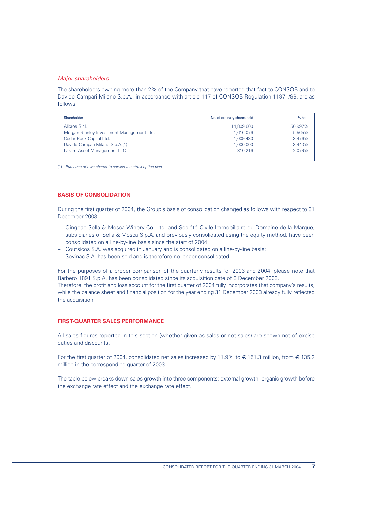### *Major shareholders*

The shareholders owning more than 2% of the Company that have reported that fact to CONSOB and to Davide Campari-Milano S.p.A., in accordance with article 117 of CONSOB Regulation 11971/99, are as follows:

| Shareholder                               | No. of ordinary shares held | $%$ held |
|-------------------------------------------|-----------------------------|----------|
| Alicros S.r.l.                            | 14,809,600                  | 50.997%  |
| Morgan Stanley Investment Management Ltd. | 1,616,076                   | 5.565%   |
| Cedar Rock Capital Ltd.                   | 1,009,430                   | 3.476%   |
| Davide Campari-Milano S.p.A.(1)           | 1.000.000                   | 3.443%   |
| Lazard Asset Management LLC               | 810.216                     | 2.079%   |

(1) *Purchase of own shares to service the stock option plan*

# **BASIS OF CONSOLIDATION**

During the first quarter of 2004, the Group's basis of consolidation changed as follows with respect to 31 December 2003:

- Qingdao Sella & Mosca Winery Co. Ltd. and Société Civile Immobiliaire du Domaine de la Margue, subsidiaries of Sella & Mosca S.p.A. and previously consolidated using the equity method, have been consolidated on a line-by-line basis since the start of 2004;
- Coutsicos S.A. was acquired in January and is consolidated on a line-by-line basis;
- Sovinac S.A. has been sold and is therefore no longer consolidated.

For the purposes of a proper comparison of the quarterly results for 2003 and 2004, please note that Barbero 1891 S.p.A. has been consolidated since its acquisition date of 3 December 2003. Therefore, the profit and loss account for the first quarter of 2004 fully incorporates that company's results, while the balance sheet and financial position for the year ending 31 December 2003 already fully reflected the acquisition.

### **FIRST-QUARTER SALES PERFORMANCE**

All sales figures reported in this section (whether given as sales or net sales) are shown net of excise duties and discounts.

For the first quarter of 2004, consolidated net sales increased by 11.9% to  $\in$  151.3 million, from  $\in$  135.2 million in the corresponding quarter of 2003.

The table below breaks down sales growth into three components: external growth, organic growth before the exchange rate effect and the exchange rate effect.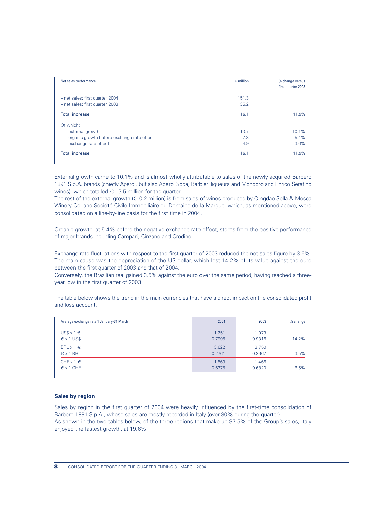| Net sales performance                      | $\epsilon$ million | % change versus<br>first quarter 2003 |
|--------------------------------------------|--------------------|---------------------------------------|
|                                            |                    |                                       |
| - net sales: first quarter 2004            | 151.3              |                                       |
| - net sales: first quarter 2003            | 135.2              |                                       |
| <b>Total increase</b>                      | 16.1               | 11.9%                                 |
| Of which:                                  |                    |                                       |
| external growth                            | 13.7               | 10.1%                                 |
| organic growth before exchange rate effect | 7.3                | 5.4%                                  |
| exchange rate effect                       | $-4.9$             | $-3.6%$                               |
| <b>Total increase</b>                      | 16.1               | 11.9%                                 |

External growth came to 10.1% and is almost wholly attributable to sales of the newly acquired Barbero 1891 S.p.A. brands (chiefly Aperol, but also Aperol Soda, Barbieri liqueurs and Mondoro and Enrico Serafino wines), which totalled  $\in$  13.5 million for the quarter.

The rest of the external growth (€ 0.2 million) is from sales of wines produced by Qingdao Sella & Mosca Winery Co. and Société Civile Immobiliaire du Domaine de la Margue, which, as mentioned above, were consolidated on a line-by-line basis for the first time in 2004.

Organic growth, at 5.4% before the negative exchange rate effect, stems from the positive performance of major brands including Campari, Cinzano and Crodino.

Exchange rate fluctuations with respect to the first quarter of 2003 reduced the net sales figure by 3.6%. The main cause was the depreciation of the US dollar, which lost 14.2% of its value against the euro between the first quarter of 2003 and that of 2004.

Conversely, the Brazilian real gained 3.5% against the euro over the same period, having reached a threeyear low in the first quarter of 2003.

The table below shows the trend in the main currencies that have a direct impact on the consolidated profit and loss account.

| Average exchange rate 1 January-31 March | 2004   | 2003   | $%$ change |
|------------------------------------------|--------|--------|------------|
| $US$ \times 1 \in$                       | 1.251  | 1.073  | $-14.2%$   |
| $\xi$ x 1 US\$                           | 0.7995 | 0.9316 |            |
| BRL $x 1 \in$                            | 3.622  | 3.750  | 3.5%       |
| $\epsilon$ x 1 BRL                       | 0.2761 | 0.2667 |            |
| CHF $\times$ 1 $\in$                     | 1.569  | 1.466  | $-6.5%$    |
| $\epsilon$ x 1 CHF                       | 0.6375 | 0.6820 |            |

### **Sales by region**

Sales by region in the first quarter of 2004 were heavily influenced by the first-time consolidation of Barbero 1891 S.p.A., whose sales are mostly recorded in Italy (over 80% during the quarter). As shown in the two tables below, of the three regions that make up 97.5% of the Group's sales, Italy enjoyed the fastest growth, at 19.6%.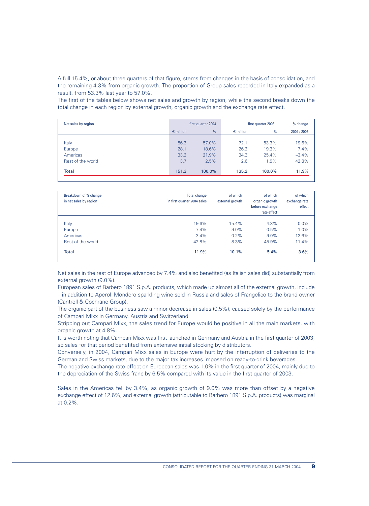A full 15.4%, or about three quarters of that figure, stems from changes in the basis of consolidation, and the remaining 4.3% from organic growth. The proportion of Group sales recorded in Italy expanded as a result, from 53.3% last year to 57.0%.

The first of the tables below shows net sales and growth by region, while the second breaks down the total change in each region by external growth, organic growth and the exchange rate effect.

| Net sales by region | first quarter 2004<br>first quarter 2003 |        |                    | % change |             |
|---------------------|------------------------------------------|--------|--------------------|----------|-------------|
|                     | $\epsilon$ million                       | %      | $\epsilon$ million | %        | 2004 / 2003 |
|                     |                                          |        |                    |          |             |
| Italy               | 86.3                                     | 57.0%  | 72.1               | 53.3%    | 19.6%       |
| Europe              | 28.1                                     | 18.6%  | 26.2               | 19.3%    | 7.4%        |
| Americas            | 33.2                                     | 21.9%  | 34.3               | 25.4%    | $-3.4%$     |
| Rest of the world   | 3.7                                      | 2.5%   | 2.6                | 1.9%     | 42.8%       |
| <b>Total</b>        | 151.3                                    | 100.0% | 135.2              | 100.0%   | 11.9%       |

| Breakdown of % change<br>in net sales by region | <b>Total change</b><br>in first quarter 2004 sales | of which<br>external growth | of which<br>organic growth<br>before exchange<br>rate effect | of which<br>exchange rate<br>effect |
|-------------------------------------------------|----------------------------------------------------|-----------------------------|--------------------------------------------------------------|-------------------------------------|
| Italy                                           | 19.6%                                              | 15.4%                       | 4.3%                                                         | $0.0\%$                             |
| Europe                                          | 7.4%                                               | $9.0\%$                     | $-0.5%$                                                      | $-1.0%$                             |
| Americas                                        | $-3.4%$                                            | $0.2\%$                     | $9.0\%$                                                      | $-12.6%$                            |
| Rest of the world                               | 42.8%                                              | 8.3%                        | 45.9%                                                        | $-11.4%$                            |
| <b>Total</b>                                    | 11.9%                                              | 10.1%                       | 5.4%                                                         | $-3.6%$                             |

Net sales in the rest of Europe advanced by 7.4% and also benefited (as Italian sales did) substantially from external growth (9.0%).

European sales of Barbero 1891 S.p.A. products, which made up almost all of the external growth, include – in addition to Aperol-Mondoro sparkling wine sold in Russia and sales of Frangelico to the brand owner (Cantrell & Cochrane Group).

The organic part of the business saw a minor decrease in sales (0.5%), caused solely by the performance of Campari Mixx in Germany, Austria and Switzerland.

Stripping out Campari Mixx, the sales trend for Europe would be positive in all the main markets, with organic growth at 4.8%.

It is worth noting that Campari Mixx was first launched in Germany and Austria in the first quarter of 2003, so sales for that period benefited from extensive initial stocking by distributors.

Conversely, in 2004, Campari Mixx sales in Europe were hurt by the interruption of deliveries to the German and Swiss markets, due to the major tax increases imposed on ready-to-drink beverages.

The negative exchange rate effect on European sales was 1.0% in the first quarter of 2004, mainly due to the depreciation of the Swiss franc by 6.5% compared with its value in the first quarter of 2003.

Sales in the Americas fell by 3.4%, as organic growth of 9.0% was more than offset by a negative exchange effect of 12.6%, and external growth (attributable to Barbero 1891 S.p.A. products) was marginal at 0.2%.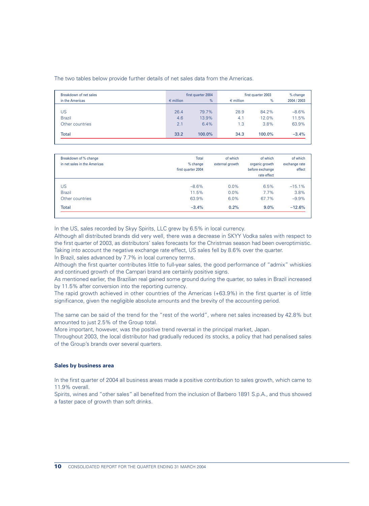The two tables below provide further details of net sales data from the Americas.

| Breakdown of net sales |                    | first quarter 2004 | first quarter 2003 |        | % change    |  |
|------------------------|--------------------|--------------------|--------------------|--------|-------------|--|
| in the Americas        | $\epsilon$ million | %                  | $\epsilon$ million | $\%$   | 2004 / 2003 |  |
|                        |                    |                    |                    |        |             |  |
| US                     | 26.4               | 79.7%              | 28.9               | 84.2%  | $-8.6%$     |  |
| <b>Brazil</b>          | 4.6                | 13.9%              | 4.1                | 12.0%  | 11.5%       |  |
| Other countries        | 2.1                | 6.4%               | 1.3                | 3.8%   | 63.9%       |  |
| <b>Total</b>           | 33.2               | 100.0%             | 34.3               | 100.0% | $-3.4%$     |  |

| Breakdown of % change<br>in net sales in the Americas | <b>Total</b><br>$%$ change<br>first quarter 2004 | of which<br>external growth | of which<br>organic growth<br>before exchange<br>rate effect | of which<br>exchange rate<br>effect |
|-------------------------------------------------------|--------------------------------------------------|-----------------------------|--------------------------------------------------------------|-------------------------------------|
| <b>US</b>                                             | $-8.6%$                                          | $0.0\%$                     | 6.5%                                                         | $-15.1%$                            |
| <b>Brazil</b>                                         | 11.5%                                            | $0.0\%$                     | $7.7\%$                                                      | 3.8%                                |
| Other countries                                       | 63.9%                                            | 6.0%                        | 67.7%                                                        | $-9.9%$                             |
| <b>Total</b>                                          | $-3.4%$                                          | 0.2%                        | $9.0\%$                                                      | $-12.6%$                            |

In the US, sales recorded by Skyy Spirits, LLC grew by 6.5% in local currency.

Although all distributed brands did very well, there was a decrease in SKYY Vodka sales with respect to the first quarter of 2003, as distributors' sales forecasts for the Christmas season had been overoptimistic. Taking into account the negative exchange rate effect, US sales fell by 8.6% over the quarter.

In Brazil, sales advanced by 7.7% in local currency terms.

Although the first quarter contributes little to full-year sales, the good performance of "admix" whiskies and continued growth of the Campari brand are certainly positive signs.

As mentioned earlier, the Brazilian real gained some ground during the quarter, so sales in Brazil increased by 11.5% after conversion into the reporting currency.

The rapid growth achieved in other countries of the Americas (+63.9%) in the first quarter is of little significance, given the negligible absolute amounts and the brevity of the accounting period.

The same can be said of the trend for the "rest of the world", where net sales increased by 42.8% but amounted to just 2.5% of the Group total.

More important, however, was the positive trend reversal in the principal market, Japan.

Throughout 2003, the local distributor had gradually reduced its stocks, a policy that had penalised sales of the Group's brands over several quarters.

### **Sales by business area**

In the first quarter of 2004 all business areas made a positive contribution to sales growth, which came to 11.9% overall.

Spirits, wines and "other sales" all benefited from the inclusion of Barbero 1891 S.p.A., and thus showed a faster pace of growth than soft drinks.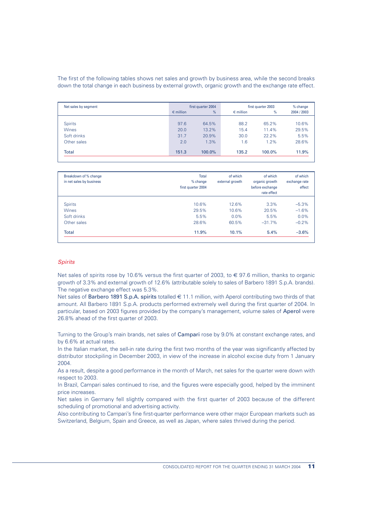The first of the following tables shows net sales and growth by business area, while the second breaks down the total change in each business by external growth, organic growth and the exchange rate effect.

| Net sales by segment |                    | first quarter 2004 |                    | first quarter 2003 | % change    |
|----------------------|--------------------|--------------------|--------------------|--------------------|-------------|
|                      | $\epsilon$ million | $\frac{9}{6}$      | $\epsilon$ million | %                  | 2004 / 2003 |
|                      |                    |                    |                    |                    |             |
| <b>Spirits</b>       | 97.6               | 64.5%              | 88.2               | 65.2%              | 10.6%       |
| <b>Wines</b>         | 20.0               | 13.2%              | 15.4               | 11.4%              | 29.5%       |
| Soft drinks          | 31.7               | 20.9%              | 30.0               | 22.2%              | 5.5%        |
| Other sales          | 2.0                | 1.3%               | 1.6                | 1.2%               | 28.6%       |
| <b>Total</b>         | 151.3              | 100.0%             | 135.2              | 100.0%             | 11.9%       |

| Breakdown of % change<br>in net sales by business | <b>Total</b><br>% change<br>first quarter 2004 | of which<br>external growth | of which<br>organic growth<br>before exchange<br>rate effect | of which<br>exchange rate<br>effect |
|---------------------------------------------------|------------------------------------------------|-----------------------------|--------------------------------------------------------------|-------------------------------------|
| <b>Spirits</b>                                    | 10.6%                                          | 12.6%                       | 3.3%                                                         | $-5.3%$                             |
| <b>Wines</b>                                      | 29.5%                                          | 10.6%                       | 20.5%                                                        | $-1.6%$                             |
| Soft drinks                                       | 5.5%                                           | $0.0\%$                     | 5.5%                                                         | $0.0\%$                             |
| Other sales                                       | 28.6%                                          | 60.5%                       | $-31.7%$                                                     | $-0.2%$                             |
| <b>Total</b>                                      | 11.9%                                          | 10.1%                       | 5.4%                                                         | $-3.6%$                             |

### *Spirits*

Net sales of spirits rose by 10.6% versus the first quarter of 2003, to € 97.6 million, thanks to organic growth of 3.3% and external growth of 12.6% (attributable solely to sales of Barbero 1891 S.p.A. brands). The negative exchange effect was 5.3%.

Net sales of Barbero 1891 S.p.A. spirits totalled € 11.1 million, with Aperol contributing two thirds of that amount. All Barbero 1891 S.p.A. products performed extremely well during the first quarter of 2004. In particular, based on 2003 figures provided by the company's management, volume sales of Aperol were 26.8% ahead of the first quarter of 2003.

Turning to the Group's main brands, net sales of Campari rose by 9.0% at constant exchange rates, and by 6.6% at actual rates.

In the Italian market, the sell-in rate during the first two months of the year was significantly affected by distributor stockpiling in December 2003, in view of the increase in alcohol excise duty from 1 January 2004.

As a result, despite a good performance in the month of March, net sales for the quarter were down with respect to 2003.

In Brazil, Campari sales continued to rise, and the figures were especially good, helped by the imminent price increases.

Net sales in Germany fell slightly compared with the first quarter of 2003 because of the different scheduling of promotional and advertising activity.

Also contributing to Campari's fine first-quarter performance were other major European markets such as Switzerland, Belgium, Spain and Greece, as well as Japan, where sales thrived during the period.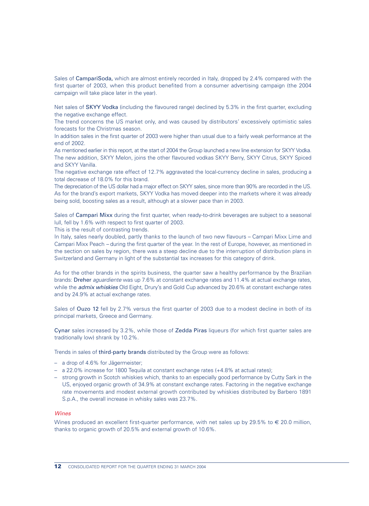Sales of CampariSoda, which are almost entirely recorded in Italy, dropped by 2.4% compared with the first quarter of 2003, when this product benefited from a consumer advertising campaign (the 2004 campaign will take place later in the year).

Net sales of SKYY Vodka (including the flavoured range) declined by 5.3% in the first quarter, excluding the negative exchange effect.

The trend concerns the US market only, and was caused by distributors' excessively optimistic sales forecasts for the Christmas season.

In addition sales in the first quarter of 2003 were higher than usual due to a fairly weak performance at the end of 2002.

As mentioned earlier in this report, at the start of 2004 the Group launched a new line extension for SKYY Vodka. The new addition, SKYY Melon, joins the other flavoured vodkas SKYY Berry, SKYY Citrus, SKYY Spiced and SKYY Vanilla.

The negative exchange rate effect of 12.7% aggravated the local-currency decline in sales, producing a total decrease of 18.0% for this brand.

The depreciation of the US dollar had a major effect on SKYY sales, since more than 90% are recorded in the US. As for the brand's export markets, SKYY Vodka has moved deeper into the markets where it was already being sold, boosting sales as a result, although at a slower pace than in 2003.

Sales of Campari Mixx during the first quarter, when ready-to-drink beverages are subject to a seasonal lull, fell by 1.6% with respect to first quarter of 2003.

This is the result of contrasting trends.

In Italy, sales nearly doubled, partly thanks to the launch of two new flavours – Campari Mixx Lime and Campari Mixx Peach *–* during the first quarter of the year. In the rest of Europe, however, as mentioned in the section on sales by region, there was a steep decline due to the interruption of distribution plans in Switzerland and Germany in light of the substantial tax increases for this category of drink.

As for the other brands in the spirits business, the quarter saw a healthy performance by the Brazilian brands: Dreher *aguardiente* was up 7.6% at constant exchange rates and 11.4% at actual exchange rates, while the *admix whiskies* Old Eight, Drury's and Gold Cup advanced by 20.6% at constant exchange rates and by 24.9% at actual exchange rates.

Sales of Ouzo 12 fell by 2.7% versus the first quarter of 2003 due to a modest decline in both of its principal markets, Greece and Germany.

Cynar sales increased by 3.2%, while those of Zedda Piras liqueurs (for which first quarter sales are traditionally low) shrank by 10.2%.

Trends in sales of third-party brands distributed by the Group were as follows:

- a drop of 4.6% for Jägermeister;
- a 22.0% increase for 1800 Tequila at constant exchange rates (+4.8% at actual rates);
- strong growth in Scotch whiskies which, thanks to an especially good performance by Cutty Sark in the US, enjoyed organic growth of 34.9% at constant exchange rates. Factoring in the negative exchange rate movements and modest external growth contributed by whiskies distributed by Barbero 1891 S.p.A., the overall increase in whisky sales was 23.7%.

### *Wines*

Wines produced an excellent first-quarter performance, with net sales up by 29.5% to  $\in$  20.0 million, thanks to organic growth of 20.5% and external growth of 10.6%.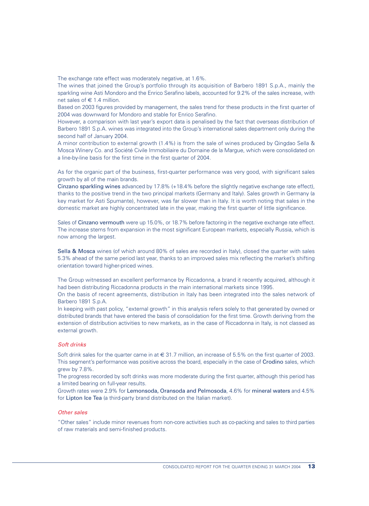The exchange rate effect was moderately negative, at 1.6%.

The wines that joined the Group's portfolio through its acquisition of Barbero 1891 S.p.A., mainly the sparkling wine Asti Mondoro and the Enrico Serafino labels, accounted for 9.2% of the sales increase, with net sales of  $\in$  1.4 million.

Based on 2003 figures provided by management, the sales trend for these products in the first quarter of 2004 was downward for Mondoro and stable for Enrico Serafino.

However, a comparison with last year's export data is penalised by the fact that overseas distribution of Barbero 1891 S.p.A. wines was integrated into the Group's international sales department only during the second half of January 2004.

A minor contribution to external growth (1.4%) is from the sale of wines produced by Qingdao Sella & Mosca Winery Co. and Société Civile Immobiliaire du Domaine de la Margue, which were consolidated on a line-by-line basis for the first time in the first quarter of 2004.

As for the organic part of the business, first-quarter performance was very good, with significant sales growth by all of the main brands.

Cinzano sparkling wines advanced by 17.8% (+18.4% before the slightly negative exchange rate effect), thanks to the positive trend in the two principal markets (Germany and Italy). Sales growth in Germany (a key market for Asti Spumante), however, was far slower than in Italy. It is worth noting that sales in the domestic market are highly concentrated late in the year, making the first quarter of little significance.

Sales of Cinzano vermouth were up 15.0%, or 18.7% before factoring in the negative exchange rate effect. The increase stems from expansion in the most significant European markets, especially Russia, which is now among the largest.

Sella & Mosca wines (of which around 80% of sales are recorded in Italy), closed the quarter with sales 5.3% ahead of the same period last year, thanks to an improved sales mix reflecting the market's shifting orientation toward higher-priced wines.

The Group witnessed an excellent performance by Riccadonna, a brand it recently acquired, although it had been distributing Riccadonna products in the main international markets since 1995.

On the basis of recent agreements, distribution in Italy has been integrated into the sales network of Barbero 1891 S.p.A.

In keeping with past policy, "external growth" in this analysis refers solely to that generated by owned or distributed brands that have entered the basis of consolidation for the first time. Growth deriving from the extension of distribution activities to new markets, as in the case of Riccadonna in Italy, is not classed as external growth.

### *Soft drinks*

Soft drink sales for the quarter came in at € 31.7 million, an increase of 5.5% on the first quarter of 2003. This segment's performance was positive across the board, especially in the case of Crodino sales, which grew by 7.8%.

The progress recorded by soft drinks was more moderate during the first quarter, although this period has a limited bearing on full-year results.

Growth rates were 2.9% for Lemonsoda, Oransoda and Pelmosoda, 4.6% for mineral waters and 4.5% for Lipton Ice Tea (a third-party brand distributed on the Italian market).

### *Other sales*

"Other sales" include minor revenues from non-core activities such as co-packing and sales to third parties of raw materials and semi-finished products.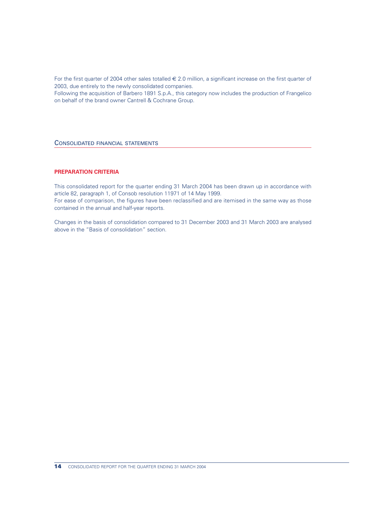For the first quarter of 2004 other sales totalled  $\in$  2.0 million, a significant increase on the first quarter of 2003, due entirely to the newly consolidated companies.

Following the acquisition of Barbero 1891 S.p.A., this category now includes the production of Frangelico on behalf of the brand owner Cantrell & Cochrane Group.

### CONSOLIDATED FINANCIAL STATEMENTS

# **PREPARATION CRITERIA**

This consolidated report for the quarter ending 31 March 2004 has been drawn up in accordance with article 82, paragraph 1, of Consob resolution 11971 of 14 May 1999. For ease of comparison, the figures have been reclassified and are itemised in the same way as those contained in the annual and half-year reports.

Changes in the basis of consolidation compared to 31 December 2003 and 31 March 2003 are analysed above in the "Basis of consolidation" section.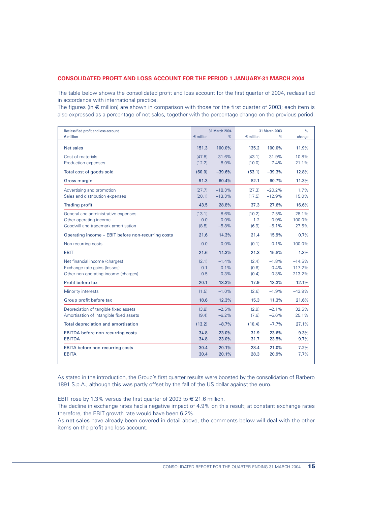# **CONSOLIDATED PROFIT AND LOSS ACCOUNT FOR THE PERIOD 1 JANUARY-31 MARCH 2004**

The table below shows the consolidated profit and loss account for the first quarter of 2004, reclassified in accordance with international practice.

The figures (in  $\epsilon$  million) are shown in comparison with those for the first quarter of 2003; each item is also expressed as a percentage of net sales, together with the percentage change on the previous period.

| Reclassified profit and loss account<br>$\epsilon$ million | $\epsilon$ million | 31 March 2004<br>$\%$ | $\epsilon$ million | 31 March 2003<br>% | %<br>change |
|------------------------------------------------------------|--------------------|-----------------------|--------------------|--------------------|-------------|
|                                                            |                    |                       |                    |                    |             |
| Net sales                                                  | 151.3              | 100.0%                | 135.2              | 100.0%             | 11.9%       |
| Cost of materials                                          | (47.8)             | $-31.6%$              | (43.1)             | $-31.9%$           | 10.8%       |
| Production expenses                                        | (12.2)             | $-8.0%$               | (10.0)             | $-7.4%$            | 21.1%       |
| Total cost of goods sold                                   | (60.0)             | $-39.6%$              | (53.1)             | $-39.3%$           | 12.8%       |
| <b>Gross margin</b>                                        | 91.3               | 60.4%                 | 82.1               | 60.7%              | 11.3%       |
| Advertising and promotion                                  | (27.7)             | $-18.3%$              | (27.3)             | $-20.2%$           | 1.7%        |
| Sales and distribution expenses                            | (20.1)             | $-13.3%$              | (17.5)             | $-12.9%$           | 15.0%       |
| <b>Trading profit</b>                                      | 43.5               | 28.8%                 | 37.3               | 27.6%              | 16.6%       |
| General and administrative expenses                        | (13.1)             | $-8.6%$               | (10.2)             | $-7.5%$            | 28.1%       |
| Other operating income                                     | 0.0                | 0.0%                  | 1.2                | 0.9%               | $-100.0%$   |
| Goodwill and trademark amortisation                        | (8.8)              | $-5.8%$               | (6.9)              | $-5.1%$            | 27.5%       |
| Operating income = EBIT before non-recurring costs         | 21.6               | 14.3%                 | 21.4               | 15.9%              | 0.7%        |
| Non-recurring costs                                        | 0.0                | 0.0%                  | (0.1)              | $-0.1%$            | $-100.0%$   |
| <b>EBIT</b>                                                | 21.6               | 14.3%                 | 21.3               | 15.8%              | 1.3%        |
| Net financial income (charges)                             | (2.1)              | $-1.4%$               | (2.4)              | $-1.8%$            | $-14.5%$    |
| Exchange rate gains (losses)                               | 0.1                | 0.1%                  | (0.6)              | $-0.4%$            | $-117.2%$   |
| Other non-operating income (charges)                       | 0.5                | 0.3%                  | (0.4)              | $-0.3%$            | $-213.2%$   |
| Profit before tax                                          | 20.1               | 13.3%                 | 17.9               | 13.3%              | 12.1%       |
| Minority interests                                         | (1.5)              | $-1.0%$               | (2.6)              | $-1.9%$            | $-43.9%$    |
| Group profit before tax                                    | 18.6               | 12.3%                 | 15.3               | 11.3%              | 21.6%       |
| Depreciation of tangible fixed assets                      | (3.8)              | $-2.5%$               | (2.9)              | $-2.1%$            | 32.5%       |
| Amortisation of intangible fixed assets                    | (9.4)              | $-6.2%$               | (7.6)              | $-5.6%$            | 25.1%       |
| Total depreciation and amortisation                        | (13.2)             | $-8.7%$               | (10.4)             | $-7.7%$            | 27.1%       |
| <b>EBITDA</b> before non-recurring costs                   | 34.8               | 23.0%                 | 31.9               | 23.6%              | 9.3%        |
| <b>EBITDA</b>                                              | 34.8               | 23.0%                 | 31.7               | 23.5%              | 9.7%        |
| <b>EBITA</b> before non-recurring costs                    | 30.4               | 20.1%                 | 28.4               | 21.0%              | 7.2%        |
| <b>EBITA</b>                                               | 30.4               | 20.1%                 | 28.3               | 20.9%              | 7.7%        |

As stated in the introduction, the Group's first quarter results were boosted by the consolidation of Barbero 1891 S.p.A., although this was partly offset by the fall of the US dollar against the euro.

EBIT rose by 1.3% versus the first quarter of 2003 to  $\epsilon$  21.6 million.

The decline in exchange rates had a negative impact of 4.9% on this result; at constant exchange rates therefore, the EBIT growth rate would have been 6.2%.

As net sales have already been covered in detail above, the comments below will deal with the other items on the profit and loss account.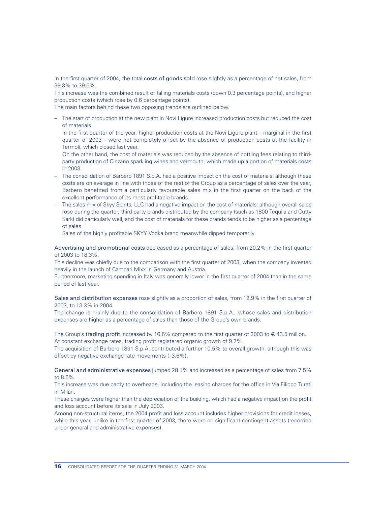In the first quarter of 2004, the total costs of goods sold rose slightly as a percentage of net sales, from 39.3% to 39.6%.

This increase was the combined result of falling materials costs (down 0.3 percentage points), and higher production costs (which rose by 0.6 percentage points).

The main factors behind these two opposing trends are outlined below.

– The start of production at the new plant in Novi Ligure increased production costs but reduced the cost of materials.

In the first quarter of the year, higher production costs at the Novi Ligure plant – marginal in the first quarter of 2003 – were not completely offset by the absence of production costs at the facility in Termoli, which closed last year.

On the other hand, the cost of materials was reduced by the absence of bottling fees relating to thirdparty production of Cinzano sparkling wines and vermouth, which made up a portion of materials costs in 2003.

- The consolidation of Barbero 1891 S.p.A. had a positive impact on the cost of materials: although these costs are on average in line with those of the rest of the Group as a percentage of sales over the year, Barbero benefited from a particularly favourable sales mix in the first quarter on the back of the excellent performance of its most profitable brands.
- The sales mix of Skyy Spirits, LLC had a negative impact on the cost of materials: although overall sales rose during the quarter, third-party brands distributed by the company (such as 1800 Tequila and Cutty Sark) did particularly well, and the cost of materials for these brands tends to be higher as a percentage of sales.

Sales of the highly profitable SKYY Vodka brand meanwhile dipped temporarily.

Advertising and promotional costs decreased as a percentage of sales, from 20.2% in the first quarter of 2003 to 18.3%.

This decline was chiefly due to the comparison with the first quarter of 2003, when the company invested heavily in the launch of Campari Mixx in Germany and Austria.

Furthermore, marketing spending in Italy was generally lower in the first quarter of 2004 than in the same period of last year.

Sales and distribution expenses rose slightly as a proportion of sales, from 12.9% in the first quarter of 2003, to 13.3% in 2004.

The change is mainly due to the consolidation of Barbero 1891 S.p.A., whose sales and distribution expenses are higher as a percentage of sales than those of the Group's own brands.

The Group's trading profit increased by 16.6% compared to the first quarter of 2003 to  $\in$  43.5 million. At constant exchange rates, trading profit registered organic growth of 9.7%.

The acquisition of Barbero 1891 S.p.A. contributed a further 10.5% to overall growth, although this was offset by negative exchange rate movements (–3.6%).

General and administrative expenses jumped 28.1% and increased as a percentage of sales from 7.5% to 8.6%.

This increase was due partly to overheads, including the leasing charges for the office in Via Filippo Turati in Milan.

These charges were higher than the depreciation of the building, which had a negative impact on the profit and loss account before its sale in July 2003.

Among non-structural items, the 2004 profit and loss account includes higher provisions for credit losses, while this year, unlike in the first quarter of 2003, there were no significant contingent assets (recorded under general and administrative expenses).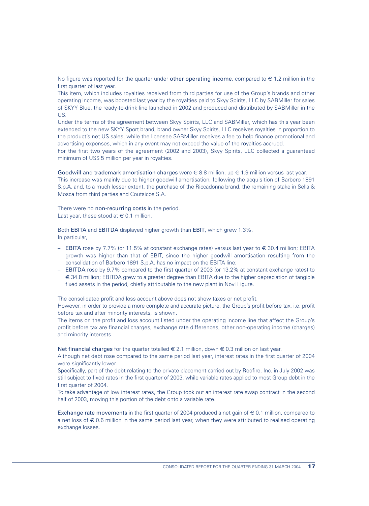No figure was reported for the quarter under other operating income, compared to  $\epsilon$  1.2 million in the first quarter of last year.

This item, which includes royalties received from third parties for use of the Group's brands and other operating income, was boosted last year by the royalties paid to Skyy Spirits, LLC by SABMiller for sales of SKYY Blue, the ready-to-drink line launched in 2002 and produced and distributed by SABMiller in the US.

Under the terms of the agreement between Skyy Spirits, LLC and SABMiller, which has this year been extended to the new SKYY Sport brand, brand owner Skyy Spirits, LLC receives royalties in proportion to the product's net US sales, while the licensee SABMiller receives a fee to help finance promotional and advertising expenses, which in any event may not exceed the value of the royalties accrued.

For the first two years of the agreement (2002 and 2003), Skyy Spirits, LLC collected a guaranteed minimum of US\$ 5 million per year in royalties.

Goodwill and trademark amortisation charges were  $\in$  8.8 million, up  $\in$  1.9 million versus last year.

This increase was mainly due to higher goodwill amortisation, following the acquisition of Barbero 1891 S.p.A. and, to a much lesser extent, the purchase of the Riccadonna brand, the remaining stake in Sella & Mosca from third parties and Coutsicos S.A.

#### There were no non-recurring costs in the period.

Last year, these stood at  $\in$  0.1 million.

Both EBITA and EBITDA displayed higher growth than EBIT, which grew 1.3%. In particular,

- $-$  EBITA rose by 7.7% (or 11.5% at constant exchange rates) versus last year to € 30.4 million; EBITA growth was higher than that of EBIT, since the higher goodwill amortisation resulting from the consolidation of Barbero 1891 S.p.A. has no impact on the EBITA line;
- EBITDA rose by 9.7% compared to the first quarter of 2003 (or 13.2% at constant exchange rates) to € 34.8 million; EBITDA grew to a greater degree than EBITA due to the higher depreciation of tangible fixed assets in the period, chiefly attributable to the new plant in Novi Ligure.

The consolidated profit and loss account above does not show taxes or net profit.

However, in order to provide a more complete and accurate picture, the Group's profit before tax, i.e. profit before tax and after minority interests, is shown.

The items on the profit and loss account listed under the operating income line that affect the Group's profit before tax are financial charges, exchange rate differences, other non-operating income (charges) and minority interests.

Net financial charges for the quarter totalled  $\in$  2.1 million, down  $\in$  0.3 million on last year.

Although net debt rose compared to the same period last year, interest rates in the first quarter of 2004 were significantly lower.

Specifically, part of the debt relating to the private placement carried out by Redfire, Inc. in July 2002 was still subject to fixed rates in the first quarter of 2003, while variable rates applied to most Group debt in the first quarter of 2004.

To take advantage of low interest rates, the Group took out an interest rate swap contract in the second half of 2003, moving this portion of the debt onto a variable rate.

Exchange rate movements in the first quarter of 2004 produced a net gain of  $\epsilon$  0.1 million, compared to a net loss of  $\epsilon$  0.6 million in the same period last year, when they were attributed to realised operating exchange losses.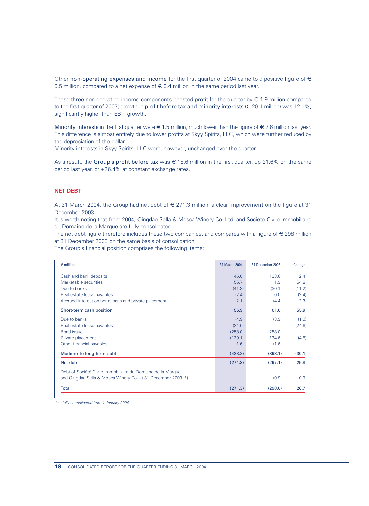Other non-operating expenses and income for the first quarter of 2004 came to a positive figure of  $\epsilon$ 0.5 million, compared to a net expense of  $\epsilon$  0.4 million in the same period last year.

These three non-operating income components boosted profit for the quarter by  $\epsilon$  1.9 million compared to the first quarter of 2003; growth in **profit before tax and minority interests** ( $\in$  20.1 million) was 12.1%, significantly higher than EBIT growth.

Minority interests in the first quarter were  $\in$  1.5 million, much lower than the figure of  $\in$  2.6 million last year. This difference is almost entirely due to lower profits at Skyy Spirits, LLC, which were further reduced by the depreciation of the dollar.

Minority interests in Skyy Spirits, LLC were, however, unchanged over the quarter.

As a result, the Group's profit before tax was  $\epsilon$  18.6 million in the first quarter, up 21.6% on the same period last year, or +26.4% at constant exchange rates.

### **NET DEBT**

At 31 March 2004, the Group had net debt of € 271.3 million, a clear improvement on the figure at 31 December 2003.

It is worth noting that from 2004, Qingdao Sella & Mosca Winery Co. Ltd. and Société Civile Immobiliaire du Domaine de la Margue are fully consolidated.

The net debt figure therefore includes these two companies, and compares with a figure of  $\epsilon$  298 million at 31 December 2003 on the same basis of consolidation.

The Group's financial position comprises the following items:

| $\epsilon$ million                                           | 31 March 2004 | 31 December 2003 | Change                   |
|--------------------------------------------------------------|---------------|------------------|--------------------------|
|                                                              |               |                  |                          |
| Cash and bank deposits                                       | 146.0         | 133.6            | 12.4                     |
| Marketable securities                                        | 56.7          | 1.9              | 54.8                     |
| Due to banks                                                 | (41.3)        | (30.1)           | (11.2)                   |
| Real estate lease payables                                   | (2.4)         | 0.0              | (2.4)                    |
| Accrued interest on bond loans and private placement         | (2.1)         | (4.4)            | 2.3                      |
| Short-term cash position                                     | 156.9         | 101.0            | 55.9                     |
| Due to banks                                                 | (4.9)         | (3.9)            | (1.0)                    |
| Real estate lease payables                                   | (24.6)        |                  | (24.6)                   |
| <b>Bond</b> issue                                            | (258.0)       | (258.0)          |                          |
| Private placement                                            | (139.1)       | (134.6)          | (4.5)                    |
| Other financial payables                                     | (1.6)         | (1.6)            | $\overline{\phantom{0}}$ |
| Medium-to long-term debt                                     | (428.2)       | (398.1)          | (30.1)                   |
| Net debt                                                     | (271.3)       | (297.1)          | 25.8                     |
| Debt of Société Civile Immobiliaire du Domaine de la Marque  |               |                  |                          |
| and Qingdao Sella & Mosca Winery Co. at 31 December 2003 (*) |               | (0.9)            | 0.9                      |
| Total                                                        | (271.3)       | (298.0)          | 26.7                     |

(\*) *fully consolidated from 1 January 2004*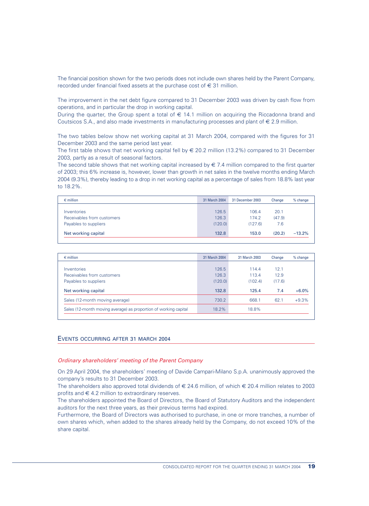The financial position shown for the two periods does not include own shares held by the Parent Company, recorded under financial fixed assets at the purchase cost of  $\epsilon$  31 million.

The improvement in the net debt figure compared to 31 December 2003 was driven by cash flow from operations, and in particular the drop in working capital.

During the quarter, the Group spent a total of  $\epsilon$  14.1 million on acquiring the Riccadonna brand and Coutsicos S.A., and also made investments in manufacturing processes and plant of  $\epsilon$  2.9 million.

The two tables below show net working capital at 31 March 2004, compared with the figures for 31 December 2003 and the same period last year.

The first table shows that net working capital fell by  $\in$  20.2 million (13.2%) compared to 31 December 2003, partly as a result of seasonal factors.

The second table shows that net working capital increased by  $\in 7.4$  million compared to the first quarter of 2003; this 6% increase is, however, lower than growth in net sales in the twelve months ending March 2004 (9.3%), thereby leading to a drop in net working capital as a percentage of sales from 18.8% last year to 18.2%.

| $\epsilon$ million         | 31 March 2004 | 31 December 2003 | Change | % change |
|----------------------------|---------------|------------------|--------|----------|
|                            |               |                  |        |          |
| Inventories                | 126.5         | 106.4            | 20.1   |          |
| Receivables from customers | 126.3         | 174.2            | (47.9) |          |
| Payables to suppliers      | (120.0)       | (127.6)          | 7.6    |          |
| Net working capital        | 132.8         | 153.0            | (20.2) | $-13.2%$ |

| $\epsilon$ million                                               | 31 March 2004 | 31 March 2003 | Change | $%$ change |
|------------------------------------------------------------------|---------------|---------------|--------|------------|
|                                                                  |               |               |        |            |
| Inventories                                                      | 126.5         | 114.4         | 12.1   |            |
| Receivables from customers                                       | 126.3         | 113.4         | 12.9   |            |
| Payables to suppliers                                            | (120.0)       | (102.4)       | (17.6) |            |
| Net working capital                                              | 132.8         | 125.4         | 7.4    | $+6.0%$    |
| Sales (12-month moving average)                                  | 730.2         | 668.1         | 62.1   | $+9.3%$    |
| Sales (12-month moving average) as proportion of working capital | 18.2%         | 18.8%         |        |            |

# EVENTS OCCURRING AFTER 31 MARCH 2004

#### *Ordinary shareholders' meeting of the Parent Company*

On 29 April 2004, the shareholders' meeting of Davide Campari-Milano S.p.A. unanimously approved the company's results to 31 December 2003.

The shareholders also approved total dividends of  $\epsilon$  24.6 million, of which  $\epsilon$  20.4 million relates to 2003 profits and  $\in$  4.2 million to extraordinary reserves.

The shareholders appointed the Board of Directors, the Board of Statutory Auditors and the independent auditors for the next three years, as their previous terms had expired.

Furthermore, the Board of Directors was authorised to purchase, in one or more tranches, a number of own shares which, when added to the shares already held by the Company, do not exceed 10% of the share capital.